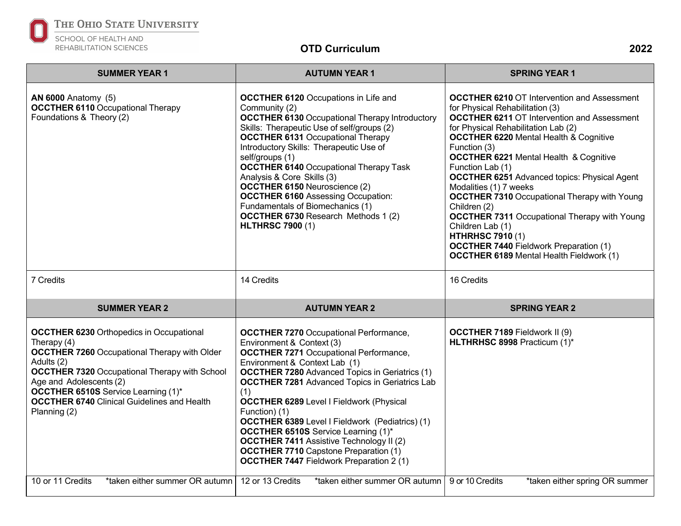

## THE OHIO STATE UNIVERSITY

## SCHOOL OF HEALTH AND REHABILITATION SCIENCES

## **OTD Curriculum 2022**

| <b>SUMMER YEAR 1</b>                                                                                                                                                                                                                                                                                                                         | <b>AUTUMN YEAR 1</b>                                                                                                                                                                                                                                                                                                                                                                                                                                                                                                                                                                                                    | <b>SPRING YEAR 1</b>                                                                                                                                                                                                                                                                                                                                                                                                                                                                                                                                                                                                                                                                               |
|----------------------------------------------------------------------------------------------------------------------------------------------------------------------------------------------------------------------------------------------------------------------------------------------------------------------------------------------|-------------------------------------------------------------------------------------------------------------------------------------------------------------------------------------------------------------------------------------------------------------------------------------------------------------------------------------------------------------------------------------------------------------------------------------------------------------------------------------------------------------------------------------------------------------------------------------------------------------------------|----------------------------------------------------------------------------------------------------------------------------------------------------------------------------------------------------------------------------------------------------------------------------------------------------------------------------------------------------------------------------------------------------------------------------------------------------------------------------------------------------------------------------------------------------------------------------------------------------------------------------------------------------------------------------------------------------|
| <b>AN 6000 Anatomy (5)</b><br><b>OCCTHER 6110 Occupational Therapy</b><br>Foundations & Theory (2)                                                                                                                                                                                                                                           | <b>OCCTHER 6120 Occupations in Life and</b><br>Community (2)<br><b>OCCTHER 6130 Occupational Therapy Introductory</b><br>Skills: Therapeutic Use of self/groups (2)<br><b>OCCTHER 6131 Occupational Therapy</b><br>Introductory Skills: Therapeutic Use of<br>self/groups (1)<br><b>OCCTHER 6140 Occupational Therapy Task</b><br>Analysis & Core Skills (3)<br><b>OCCTHER 6150 Neuroscience (2)</b><br><b>OCCTHER 6160 Assessing Occupation:</b><br>Fundamentals of Biomechanics (1)<br><b>OCCTHER 6730 Research Methods 1 (2)</b><br><b>HLTHRSC 7900 (1)</b>                                                          | <b>OCCTHER 6210 OT Intervention and Assessment</b><br>for Physical Rehabilitation (3)<br><b>OCCTHER 6211 OT Intervention and Assessment</b><br>for Physical Rehabilitation Lab (2)<br><b>OCCTHER 6220 Mental Health &amp; Cognitive</b><br>Function (3)<br><b>OCCTHER 6221 Mental Health &amp; Cognitive</b><br>Function Lab (1)<br><b>OCCTHER 6251 Advanced topics: Physical Agent</b><br>Modalities (1) 7 weeks<br><b>OCCTHER 7310 Occupational Therapy with Young</b><br>Children (2)<br><b>OCCTHER 7311 Occupational Therapy with Young</b><br>Children Lab (1)<br><b>HTHRHSC 7910 (1)</b><br><b>OCCTHER 7440 Fieldwork Preparation (1)</b><br><b>OCCTHER 6189</b> Mental Health Fieldwork (1) |
| 7 Credits                                                                                                                                                                                                                                                                                                                                    | 14 Credits                                                                                                                                                                                                                                                                                                                                                                                                                                                                                                                                                                                                              | 16 Credits                                                                                                                                                                                                                                                                                                                                                                                                                                                                                                                                                                                                                                                                                         |
| <b>SUMMER YEAR 2</b>                                                                                                                                                                                                                                                                                                                         | <b>AUTUMN YEAR 2</b>                                                                                                                                                                                                                                                                                                                                                                                                                                                                                                                                                                                                    | <b>SPRING YEAR 2</b>                                                                                                                                                                                                                                                                                                                                                                                                                                                                                                                                                                                                                                                                               |
| <b>OCCTHER 6230 Orthopedics in Occupational</b><br>Therapy $(4)$<br><b>OCCTHER 7260</b> Occupational Therapy with Older<br>Adults (2)<br><b>OCCTHER 7320 Occupational Therapy with School</b><br>Age and Adolescents (2)<br><b>OCCTHER 6510S</b> Service Learning (1)*<br><b>OCCTHER 6740 Clinical Guidelines and Health</b><br>Planning (2) | <b>OCCTHER 7270 Occupational Performance,</b><br>Environment & Context (3)<br><b>OCCTHER 7271 Occupational Performance,</b><br>Environment & Context Lab (1)<br><b>OCCTHER 7280</b> Advanced Topics in Geriatrics (1)<br><b>OCCTHER 7281</b> Advanced Topics in Geriatrics Lab<br>(1)<br><b>OCCTHER 6289 Level I Fieldwork (Physical</b><br>Function) (1)<br><b>OCCTHER 6389</b> Level I Fieldwork (Pediatrics) (1)<br><b>OCCTHER 6510S</b> Service Learning (1)*<br><b>OCCTHER 7411 Assistive Technology II (2)</b><br><b>OCCTHER 7710</b> Capstone Preparation (1)<br><b>OCCTHER 7447 Fieldwork Preparation 2 (1)</b> | <b>OCCTHER 7189 Fieldwork II (9)</b><br>HLTHRHSC 8998 Practicum (1)*                                                                                                                                                                                                                                                                                                                                                                                                                                                                                                                                                                                                                               |
| 10 or 11 Credits<br>*taken either summer OR autumn                                                                                                                                                                                                                                                                                           | 12 or 13 Credits<br>*taken either summer OR autumn                                                                                                                                                                                                                                                                                                                                                                                                                                                                                                                                                                      | 9 or 10 Credits<br>*taken either spring OR summer                                                                                                                                                                                                                                                                                                                                                                                                                                                                                                                                                                                                                                                  |